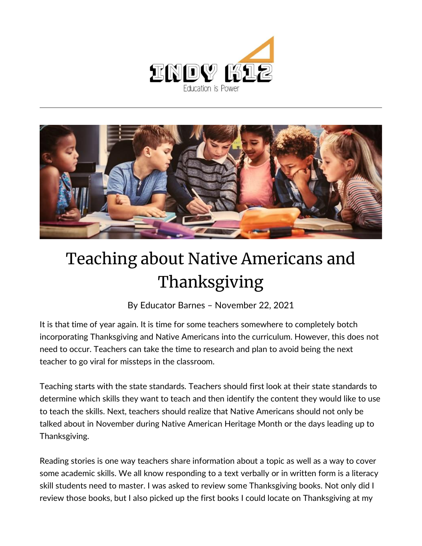



## Teaching about Native Americans and Thanksgiving

By [Educator Barnes](https://indy.education/author/shicole/) – November 22, 2021

It is that time of year again. It is time for some teachers somewhere to completely botch incorporating Thanksgiving and Native Americans into the curriculum. However, this does not need to occur. Teachers can take the time to research and plan to avoid being the next teacher to go viral for missteps in the classroom.

Teaching starts with the state standards. Teachers should first look at their state standards to determine which skills they want to teach and then identify the content they would like to use to teach the skills. Next, teachers should realize that Native Americans should not only be talked about in November during Native American Heritage Month or the days leading up to Thanksgiving.

Reading stories is one way teachers share information about a topic as well as a way to cover some academic skills. We all know responding to a text verbally or in written form is a literacy skill students need to master. I was asked to review some Thanksgiving books. Not only did I review those books, but I also picked up the first books I could locate on Thanksgiving at my